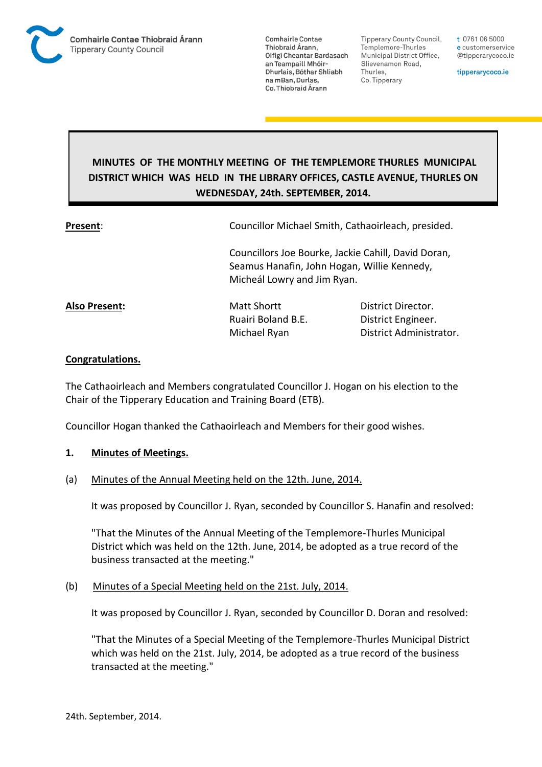

Tipperary County Council. Templemore-Thurles Municipal District Office, Slievenamon Road, Thurles, Co. Tipperary

t 0761 06 5000 e customerservice @tipperarycoco.ie

tipperarycoco.ie

# **MINUTES OF THE MONTHLY MEETING OF THE TEMPLEMORE THURLES MUNICIPAL DISTRICT WHICH WAS HELD IN THE LIBRARY OFFICES, CASTLE AVENUE, THURLES ON WEDNESDAY, 24th. SEPTEMBER, 2014.**

**Present**: Councillor Michael Smith, Cathaoirleach, presided.

Councillors Joe Bourke, Jackie Cahill, David Doran, Seamus Hanafin, John Hogan, Willie Kennedy, Micheál Lowry and Jim Ryan.

**Also Present:** Matt Shortt **District Director.** Ruairi Boland B.E. District Engineer. Michael Ryan District Administrator.

## **Congratulations.**

The Cathaoirleach and Members congratulated Councillor J. Hogan on his election to the Chair of the Tipperary Education and Training Board (ETB).

Councillor Hogan thanked the Cathaoirleach and Members for their good wishes.

## **1. Minutes of Meetings.**

## (a) Minutes of the Annual Meeting held on the 12th. June, 2014.

It was proposed by Councillor J. Ryan, seconded by Councillor S. Hanafin and resolved:

"That the Minutes of the Annual Meeting of the Templemore-Thurles Municipal District which was held on the 12th. June, 2014, be adopted as a true record of the business transacted at the meeting."

## (b) Minutes of a Special Meeting held on the 21st. July, 2014.

It was proposed by Councillor J. Ryan, seconded by Councillor D. Doran and resolved:

"That the Minutes of a Special Meeting of the Templemore-Thurles Municipal District which was held on the 21st. July, 2014, be adopted as a true record of the business transacted at the meeting."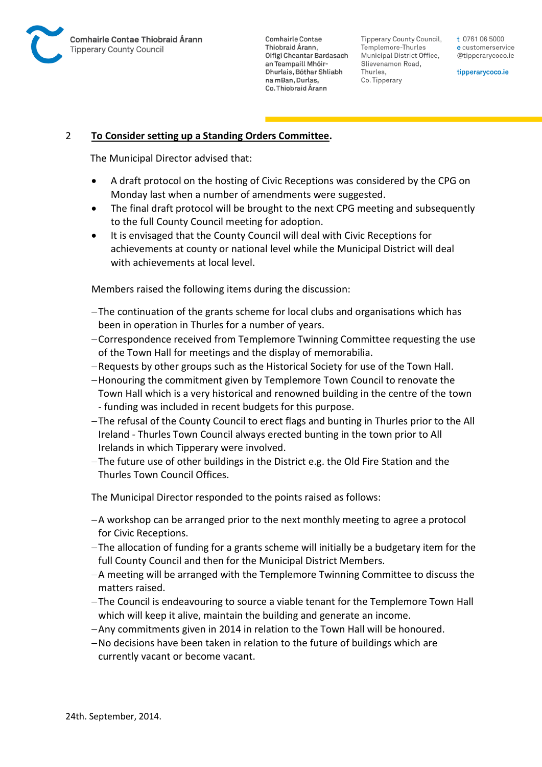

Tipperary County Council. Templemore-Thurles Municipal District Office, Slievenamon Road, Thurles, Co. Tipperary

t 0761 06 5000 e customerservice @tipperarycoco.ie

tipperarycoco.ie

## 2 **To Consider setting up a Standing Orders Committee.**

The Municipal Director advised that:

- A draft protocol on the hosting of Civic Receptions was considered by the CPG on Monday last when a number of amendments were suggested.
- The final draft protocol will be brought to the next CPG meeting and subsequently to the full County Council meeting for adoption.
- It is envisaged that the County Council will deal with Civic Receptions for achievements at county or national level while the Municipal District will deal with achievements at local level.

Members raised the following items during the discussion:

- The continuation of the grants scheme for local clubs and organisations which has been in operation in Thurles for a number of years.
- Correspondence received from Templemore Twinning Committee requesting the use of the Town Hall for meetings and the display of memorabilia.
- Requests by other groups such as the Historical Society for use of the Town Hall.
- Honouring the commitment given by Templemore Town Council to renovate the Town Hall which is a very historical and renowned building in the centre of the town
- funding was included in recent budgets for this purpose.
- The refusal of the County Council to erect flags and bunting in Thurles prior to the All Ireland - Thurles Town Council always erected bunting in the town prior to All Irelands in which Tipperary were involved.
- The future use of other buildings in the District e.g. the Old Fire Station and the Thurles Town Council Offices.

The Municipal Director responded to the points raised as follows:

- A workshop can be arranged prior to the next monthly meeting to agree a protocol for Civic Receptions.
- The allocation of funding for a grants scheme will initially be a budgetary item for the full County Council and then for the Municipal District Members.
- A meeting will be arranged with the Templemore Twinning Committee to discuss the matters raised.
- The Council is endeavouring to source a viable tenant for the Templemore Town Hall which will keep it alive, maintain the building and generate an income.
- Any commitments given in 2014 in relation to the Town Hall will be honoured.
- No decisions have been taken in relation to the future of buildings which are currently vacant or become vacant.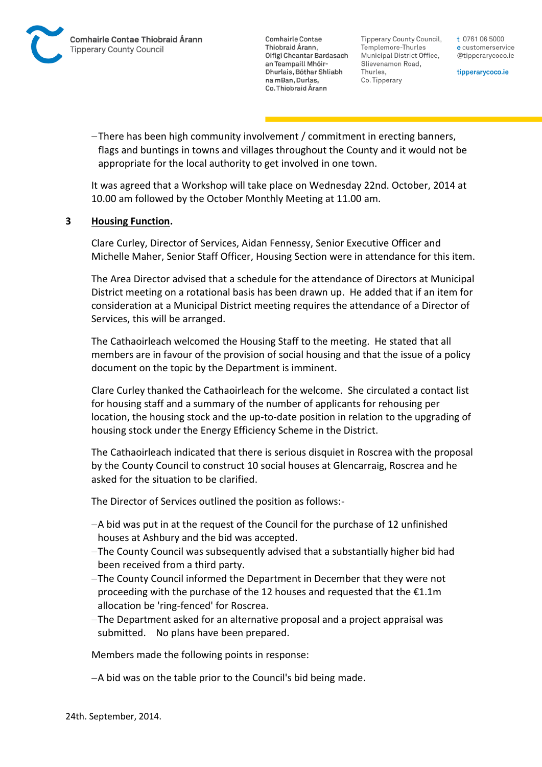Tipperary County Council. Templemore-Thurles Municipal District Office, Slievenamon Road, Thurles, Co. Tipperary

t 0761 06 5000 e customerservice @tipperarycoco.ie

tipperarycoco.ie

There has been high community involvement / commitment in erecting banners, flags and buntings in towns and villages throughout the County and it would not be appropriate for the local authority to get involved in one town.

It was agreed that a Workshop will take place on Wednesday 22nd. October, 2014 at 10.00 am followed by the October Monthly Meeting at 11.00 am.

## **3 Housing Function.**

Clare Curley, Director of Services, Aidan Fennessy, Senior Executive Officer and Michelle Maher, Senior Staff Officer, Housing Section were in attendance for this item.

The Area Director advised that a schedule for the attendance of Directors at Municipal District meeting on a rotational basis has been drawn up. He added that if an item for consideration at a Municipal District meeting requires the attendance of a Director of Services, this will be arranged.

The Cathaoirleach welcomed the Housing Staff to the meeting. He stated that all members are in favour of the provision of social housing and that the issue of a policy document on the topic by the Department is imminent.

Clare Curley thanked the Cathaoirleach for the welcome. She circulated a contact list for housing staff and a summary of the number of applicants for rehousing per location, the housing stock and the up-to-date position in relation to the upgrading of housing stock under the Energy Efficiency Scheme in the District.

The Cathaoirleach indicated that there is serious disquiet in Roscrea with the proposal by the County Council to construct 10 social houses at Glencarraig, Roscrea and he asked for the situation to be clarified.

The Director of Services outlined the position as follows:-

- A bid was put in at the request of the Council for the purchase of 12 unfinished houses at Ashbury and the bid was accepted.
- The County Council was subsequently advised that a substantially higher bid had been received from a third party.
- The County Council informed the Department in December that they were not proceeding with the purchase of the 12 houses and requested that the €1.1m allocation be 'ring-fenced' for Roscrea.
- The Department asked for an alternative proposal and a project appraisal was submitted. No plans have been prepared.

Members made the following points in response:

A bid was on the table prior to the Council's bid being made.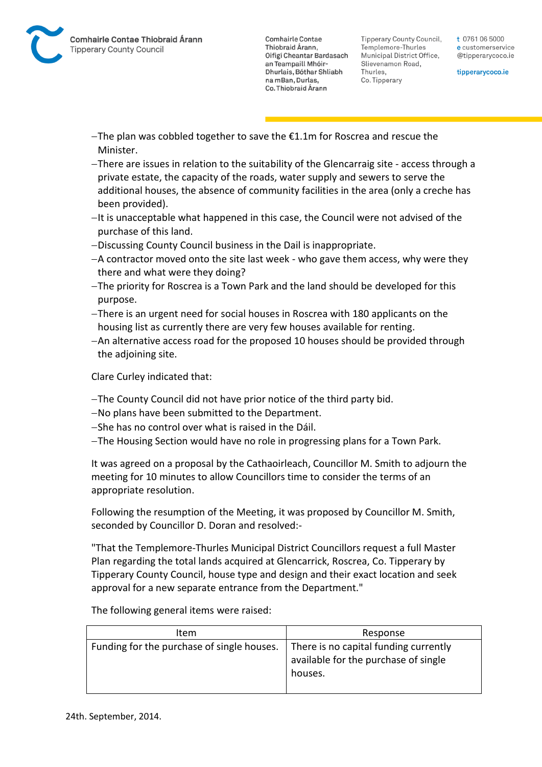Tipperary County Council. Templemore-Thurles Municipal District Office, Slievenamon Road, Thurles, Co. Tipperary

t 0761 06 5000 e customerservice @tipperarycoco.ie

tipperarycoco.ie

- $-$ The plan was cobbled together to save the  $E1.1m$  for Roscrea and rescue the Minister.
- There are issues in relation to the suitability of the Glencarraig site access through a private estate, the capacity of the roads, water supply and sewers to serve the additional houses, the absence of community facilities in the area (only a creche has been provided).
- $-I$ t is unacceptable what happened in this case, the Council were not advised of the purchase of this land.
- Discussing County Council business in the Dail is inappropriate.
- A contractor moved onto the site last week who gave them access, why were they there and what were they doing?
- The priority for Roscrea is a Town Park and the land should be developed for this purpose.
- There is an urgent need for social houses in Roscrea with 180 applicants on the housing list as currently there are very few houses available for renting.
- An alternative access road for the proposed 10 houses should be provided through the adjoining site.

Clare Curley indicated that:

- The County Council did not have prior notice of the third party bid.
- No plans have been submitted to the Department.
- $-$ She has no control over what is raised in the Dáil.
- The Housing Section would have no role in progressing plans for a Town Park.

It was agreed on a proposal by the Cathaoirleach, Councillor M. Smith to adjourn the meeting for 10 minutes to allow Councillors time to consider the terms of an appropriate resolution.

Following the resumption of the Meeting, it was proposed by Councillor M. Smith, seconded by Councillor D. Doran and resolved:-

"That the Templemore-Thurles Municipal District Councillors request a full Master Plan regarding the total lands acquired at Glencarrick, Roscrea, Co. Tipperary by Tipperary County Council, house type and design and their exact location and seek approval for a new separate entrance from the Department."

The following general items were raised:

| Item                                       | Response                                                                                 |
|--------------------------------------------|------------------------------------------------------------------------------------------|
| Funding for the purchase of single houses. | There is no capital funding currently<br>available for the purchase of single<br>houses. |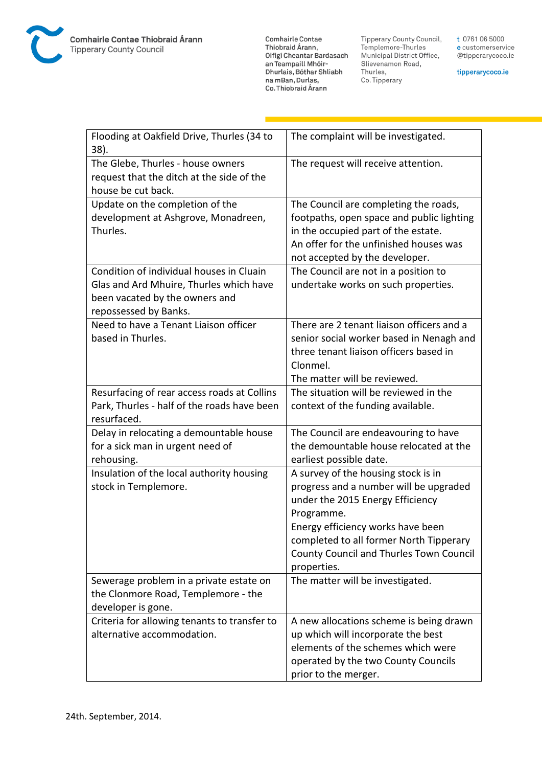

**Comhairle Contae** Commante Contae<br>Thiobraid Árann,<br>Oifigí Cheantar Bardasach an Teampaill Mhóir-Dhurlais, Bóthar Shliabh na mBan, Durlas,<br>Co. Thiobraid Árann

Tipperary County Council,<br>Templemore-Thurles<br>Municipal District Office, Slievenamon Road, Thurles, Co. Tipperary

t 0761 06 5000 e customerservice @tipperarycoco.ie

tipperarycoco.ie

| Flooding at Oakfield Drive, Thurles (34 to<br>38).                                                                                             | The complaint will be investigated.                                                                                                                                                                                                                                       |
|------------------------------------------------------------------------------------------------------------------------------------------------|---------------------------------------------------------------------------------------------------------------------------------------------------------------------------------------------------------------------------------------------------------------------------|
| The Glebe, Thurles - house owners<br>request that the ditch at the side of the<br>house be cut back.                                           | The request will receive attention.                                                                                                                                                                                                                                       |
| Update on the completion of the<br>development at Ashgrove, Monadreen,<br>Thurles.                                                             | The Council are completing the roads,<br>footpaths, open space and public lighting<br>in the occupied part of the estate.<br>An offer for the unfinished houses was<br>not accepted by the developer.                                                                     |
| Condition of individual houses in Cluain<br>Glas and Ard Mhuire, Thurles which have<br>been vacated by the owners and<br>repossessed by Banks. | The Council are not in a position to<br>undertake works on such properties.                                                                                                                                                                                               |
| Need to have a Tenant Liaison officer<br>based in Thurles.                                                                                     | There are 2 tenant liaison officers and a<br>senior social worker based in Nenagh and<br>three tenant liaison officers based in<br>Clonmel.<br>The matter will be reviewed.                                                                                               |
| Resurfacing of rear access roads at Collins<br>Park, Thurles - half of the roads have been<br>resurfaced.                                      | The situation will be reviewed in the<br>context of the funding available.                                                                                                                                                                                                |
| Delay in relocating a demountable house<br>for a sick man in urgent need of<br>rehousing.                                                      | The Council are endeavouring to have<br>the demountable house relocated at the<br>earliest possible date.                                                                                                                                                                 |
| Insulation of the local authority housing<br>stock in Templemore.                                                                              | A survey of the housing stock is in<br>progress and a number will be upgraded<br>under the 2015 Energy Efficiency<br>Programme.<br>Energy efficiency works have been<br>completed to all former North Tipperary<br>County Council and Thurles Town Council<br>properties. |
| Sewerage problem in a private estate on<br>the Clonmore Road, Templemore - the<br>developer is gone.                                           | The matter will be investigated.                                                                                                                                                                                                                                          |
| Criteria for allowing tenants to transfer to<br>alternative accommodation.                                                                     | A new allocations scheme is being drawn<br>up which will incorporate the best<br>elements of the schemes which were<br>operated by the two County Councils<br>prior to the merger.                                                                                        |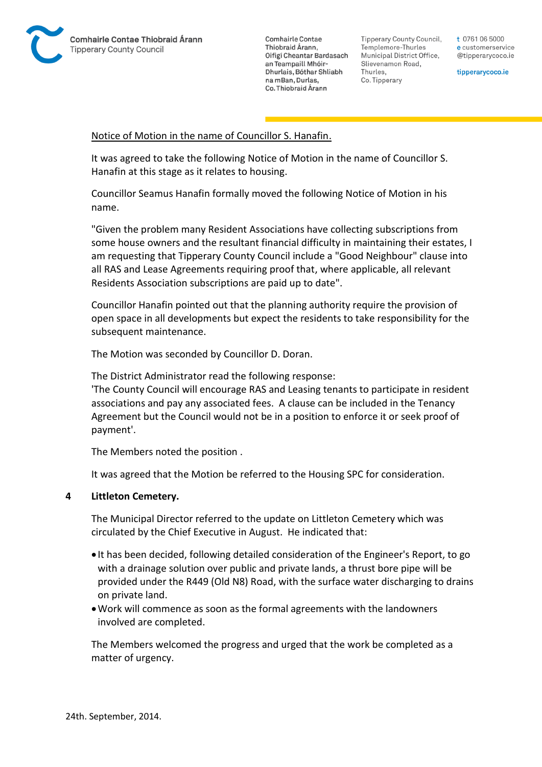

Tipperary County Council. Templemore-Thurles Municipal District Office, Slievenamon Road, Thurles, Co. Tipperary

t 0761 06 5000 e customerservice @tipperarycoco.ie

tipperarycoco.ie

### Notice of Motion in the name of Councillor S. Hanafin.

It was agreed to take the following Notice of Motion in the name of Councillor S. Hanafin at this stage as it relates to housing.

Councillor Seamus Hanafin formally moved the following Notice of Motion in his name.

"Given the problem many Resident Associations have collecting subscriptions from some house owners and the resultant financial difficulty in maintaining their estates, I am requesting that Tipperary County Council include a "Good Neighbour" clause into all RAS and Lease Agreements requiring proof that, where applicable, all relevant Residents Association subscriptions are paid up to date".

Councillor Hanafin pointed out that the planning authority require the provision of open space in all developments but expect the residents to take responsibility for the subsequent maintenance.

The Motion was seconded by Councillor D. Doran.

The District Administrator read the following response:

'The County Council will encourage RAS and Leasing tenants to participate in resident associations and pay any associated fees. A clause can be included in the Tenancy Agreement but the Council would not be in a position to enforce it or seek proof of payment'.

The Members noted the position .

It was agreed that the Motion be referred to the Housing SPC for consideration.

### **4 Littleton Cemetery.**

The Municipal Director referred to the update on Littleton Cemetery which was circulated by the Chief Executive in August. He indicated that:

- It has been decided, following detailed consideration of the Engineer's Report, to go with a drainage solution over public and private lands, a thrust bore pipe will be provided under the R449 (Old N8) Road, with the surface water discharging to drains on private land.
- Work will commence as soon as the formal agreements with the landowners involved are completed.

The Members welcomed the progress and urged that the work be completed as a matter of urgency.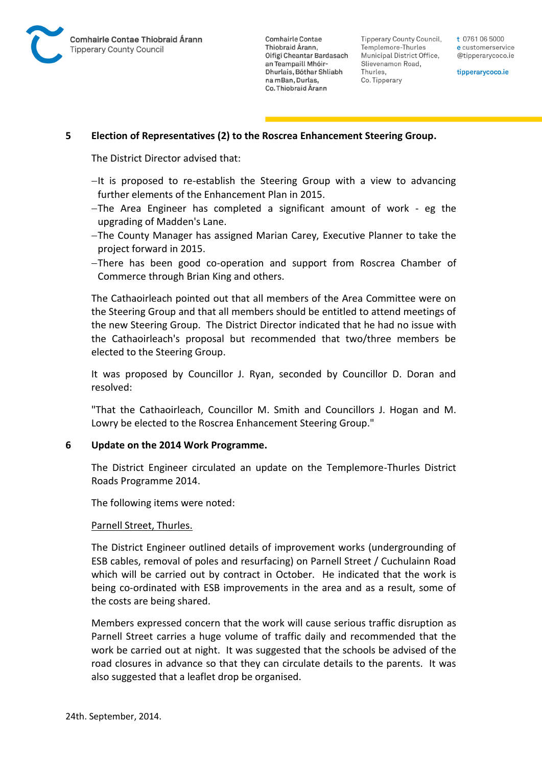

Tipperary County Council. Templemore-Thurles Municipal District Office, Slievenamon Road, Thurles, Co. Tipperary

t 0761 06 5000 e customerservice @tipperarycoco.ie

tipperarycoco.ie

### **5 Election of Representatives (2) to the Roscrea Enhancement Steering Group.**

The District Director advised that:

- $-I$ t is proposed to re-establish the Steering Group with a view to advancing further elements of the Enhancement Plan in 2015.
- The Area Engineer has completed a significant amount of work eg the upgrading of Madden's Lane.
- The County Manager has assigned Marian Carey, Executive Planner to take the project forward in 2015.
- There has been good co-operation and support from Roscrea Chamber of Commerce through Brian King and others.

The Cathaoirleach pointed out that all members of the Area Committee were on the Steering Group and that all members should be entitled to attend meetings of the new Steering Group. The District Director indicated that he had no issue with the Cathaoirleach's proposal but recommended that two/three members be elected to the Steering Group.

It was proposed by Councillor J. Ryan, seconded by Councillor D. Doran and resolved:

"That the Cathaoirleach, Councillor M. Smith and Councillors J. Hogan and M. Lowry be elected to the Roscrea Enhancement Steering Group."

### **6 Update on the 2014 Work Programme.**

The District Engineer circulated an update on the Templemore-Thurles District Roads Programme 2014.

The following items were noted:

### Parnell Street, Thurles.

The District Engineer outlined details of improvement works (undergrounding of ESB cables, removal of poles and resurfacing) on Parnell Street / Cuchulainn Road which will be carried out by contract in October. He indicated that the work is being co-ordinated with ESB improvements in the area and as a result, some of the costs are being shared.

Members expressed concern that the work will cause serious traffic disruption as Parnell Street carries a huge volume of traffic daily and recommended that the work be carried out at night. It was suggested that the schools be advised of the road closures in advance so that they can circulate details to the parents. It was also suggested that a leaflet drop be organised.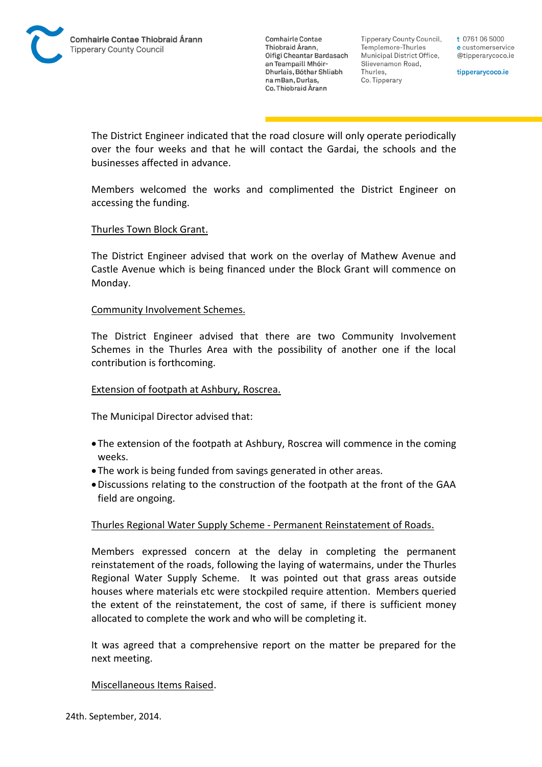

Tipperary County Council. Templemore-Thurles Municipal District Office, Slievenamon Road, Thurles, Co. Tipperary

t 0761 06 5000 e customerservice @tipperarycoco.ie

tipperarycoco.ie

The District Engineer indicated that the road closure will only operate periodically over the four weeks and that he will contact the Gardai, the schools and the businesses affected in advance.

Members welcomed the works and complimented the District Engineer on accessing the funding.

### Thurles Town Block Grant.

The District Engineer advised that work on the overlay of Mathew Avenue and Castle Avenue which is being financed under the Block Grant will commence on Monday.

### Community Involvement Schemes.

The District Engineer advised that there are two Community Involvement Schemes in the Thurles Area with the possibility of another one if the local contribution is forthcoming.

### Extension of footpath at Ashbury, Roscrea.

The Municipal Director advised that:

- The extension of the footpath at Ashbury, Roscrea will commence in the coming weeks.
- The work is being funded from savings generated in other areas.
- Discussions relating to the construction of the footpath at the front of the GAA field are ongoing.

## Thurles Regional Water Supply Scheme - Permanent Reinstatement of Roads.

Members expressed concern at the delay in completing the permanent reinstatement of the roads, following the laying of watermains, under the Thurles Regional Water Supply Scheme. It was pointed out that grass areas outside houses where materials etc were stockpiled require attention. Members queried the extent of the reinstatement, the cost of same, if there is sufficient money allocated to complete the work and who will be completing it.

It was agreed that a comprehensive report on the matter be prepared for the next meeting.

### Miscellaneous Items Raised.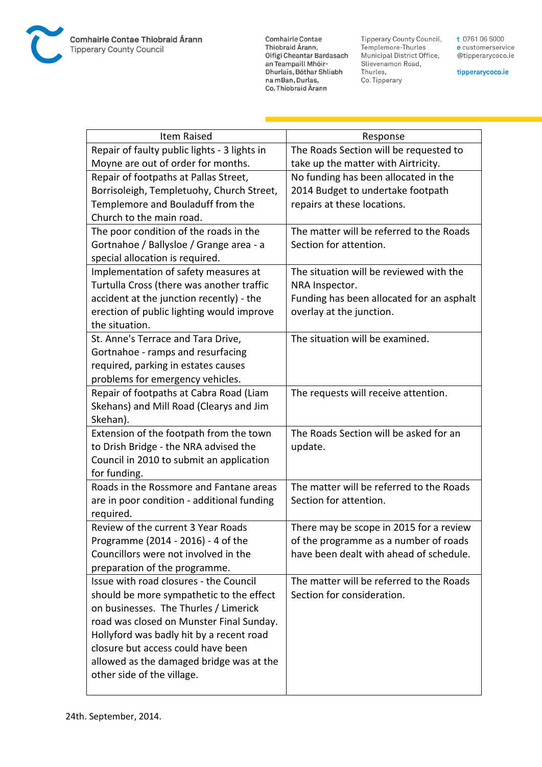

**Comhairle Contae** Commante Contae<br>Thiobraid Árann,<br>Oifigí Cheantar Bardasach an Teampaill Mhóir-Dhurlais, Bóthar Shliabh na mBan, Durlas,<br>Co. Thiobraid Árann

Tipperary County Council,<br>Templemore-Thurles<br>Municipal District Office, Slievenamon Road, Thurles, Co. Tipperary

t 0761 06 5000 e customerservice @tipperarycoco.ie

tipperarycoco.ie

| <b>Item Raised</b>                           | Response                                  |
|----------------------------------------------|-------------------------------------------|
| Repair of faulty public lights - 3 lights in | The Roads Section will be requested to    |
| Moyne are out of order for months.           | take up the matter with Airtricity.       |
| Repair of footpaths at Pallas Street,        | No funding has been allocated in the      |
| Borrisoleigh, Templetuohy, Church Street,    | 2014 Budget to undertake footpath         |
| Templemore and Bouladuff from the            | repairs at these locations.               |
| Church to the main road.                     |                                           |
| The poor condition of the roads in the       | The matter will be referred to the Roads  |
| Gortnahoe / Ballysloe / Grange area - a      | Section for attention.                    |
| special allocation is required.              |                                           |
| Implementation of safety measures at         | The situation will be reviewed with the   |
| Turtulla Cross (there was another traffic    | NRA Inspector.                            |
| accident at the junction recently) - the     | Funding has been allocated for an asphalt |
| erection of public lighting would improve    | overlay at the junction.                  |
| the situation.                               |                                           |
| St. Anne's Terrace and Tara Drive,           | The situation will be examined.           |
| Gortnahoe - ramps and resurfacing            |                                           |
| required, parking in estates causes          |                                           |
| problems for emergency vehicles.             |                                           |
| Repair of footpaths at Cabra Road (Liam      | The requests will receive attention.      |
| Skehans) and Mill Road (Clearys and Jim      |                                           |
| Skehan).                                     |                                           |
| Extension of the footpath from the town      | The Roads Section will be asked for an    |
| to Drish Bridge - the NRA advised the        | update.                                   |
| Council in 2010 to submit an application     |                                           |
| for funding.                                 |                                           |
| Roads in the Rossmore and Fantane areas      | The matter will be referred to the Roads  |
| are in poor condition - additional funding   | Section for attention.                    |
| required.                                    |                                           |
| Review of the current 3 Year Roads           | There may be scope in 2015 for a review   |
| Programme (2014 - 2016) - 4 of the           | of the programme as a number of roads     |
| Councillors were not involved in the         | have been dealt with ahead of schedule.   |
| preparation of the programme.                |                                           |
| Issue with road closures - the Council       | The matter will be referred to the Roads  |
| should be more sympathetic to the effect     | Section for consideration.                |
| on businesses. The Thurles / Limerick        |                                           |
| road was closed on Munster Final Sunday.     |                                           |
| Hollyford was badly hit by a recent road     |                                           |
| closure but access could have been           |                                           |
| allowed as the damaged bridge was at the     |                                           |
| other side of the village.                   |                                           |
|                                              |                                           |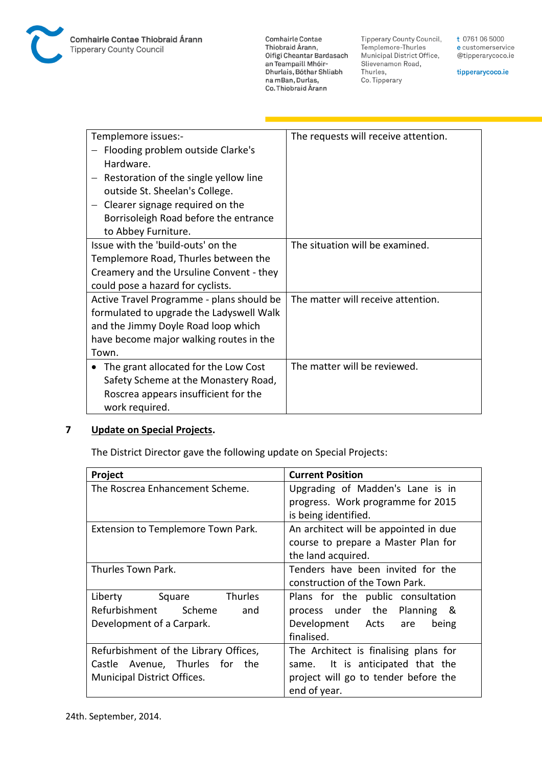

**Comhairle Contae** Commante Contae<br>Thiobraid Árann,<br>Oifigí Cheantar Bardasach an Teampaill Mhóir-Dhurlais, Bóthar Shliabh na mBan, Durlas,<br>Co. Thiobraid Árann

Tipperary County Council,<br>Templemore-Thurles Municipal District Office, Slievenamon Road, Thurles, Co. Tipperary

t 0761 06 5000 e customerservice @tipperarycoco.ie

tipperarycoco.ie

| Templemore issues:-                       | The requests will receive attention. |
|-------------------------------------------|--------------------------------------|
| Flooding problem outside Clarke's         |                                      |
| Hardware.                                 |                                      |
| Restoration of the single yellow line     |                                      |
| outside St. Sheelan's College.            |                                      |
| Clearer signage required on the           |                                      |
| Borrisoleigh Road before the entrance     |                                      |
| to Abbey Furniture.                       |                                      |
| Issue with the 'build-outs' on the        | The situation will be examined.      |
| Templemore Road, Thurles between the      |                                      |
| Creamery and the Ursuline Convent - they  |                                      |
| could pose a hazard for cyclists.         |                                      |
| Active Travel Programme - plans should be | The matter will receive attention.   |
| formulated to upgrade the Ladyswell Walk  |                                      |
| and the Jimmy Doyle Road loop which       |                                      |
| have become major walking routes in the   |                                      |
| Town.                                     |                                      |
| The grant allocated for the Low Cost      | The matter will be reviewed.         |
| Safety Scheme at the Monastery Road,      |                                      |
| Roscrea appears insufficient for the      |                                      |
| work required.                            |                                      |

## **7 Update on Special Projects.**

The District Director gave the following update on Special Projects:

| Project                               | <b>Current Position</b>               |
|---------------------------------------|---------------------------------------|
| The Roscrea Enhancement Scheme.       | Upgrading of Madden's Lane is in      |
|                                       | progress. Work programme for 2015     |
|                                       | is being identified.                  |
| Extension to Templemore Town Park.    | An architect will be appointed in due |
|                                       | course to prepare a Master Plan for   |
|                                       | the land acquired.                    |
| Thurles Town Park.                    | Tenders have been invited for the     |
|                                       | construction of the Town Park.        |
| Liberty Square<br><b>Thurles</b>      | Plans for the public consultation     |
| Refurbishment<br>Scheme<br>and        | process under the Planning &          |
| Development of a Carpark.             | Development Acts are<br>being         |
|                                       | finalised.                            |
| Refurbishment of the Library Offices, | The Architect is finalising plans for |
| Castle Avenue, Thurles for the        | It is anticipated that the<br>same.   |
| <b>Municipal District Offices.</b>    | project will go to tender before the  |
|                                       | end of year.                          |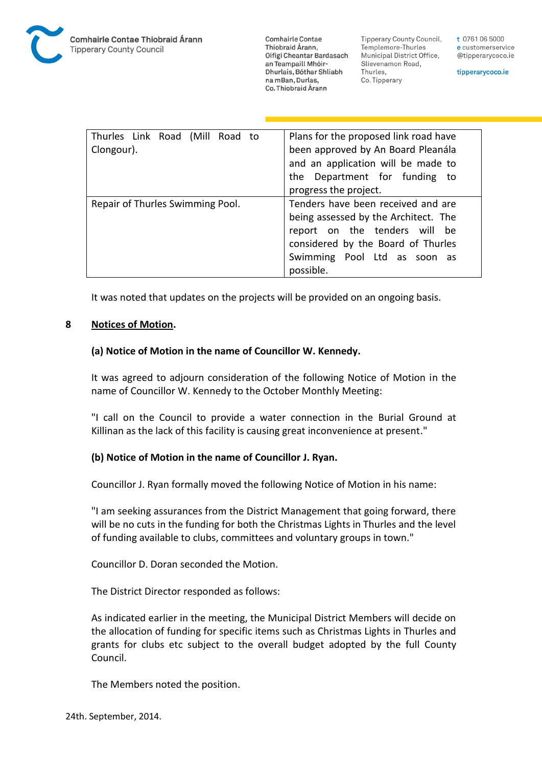

**Tipperary County Council,** Templemore-Thurles Municipal District Office, Slievenamon Road, Thurles, Co. Tipperary

t 0761 06 5000 e customerservice @tipperarycoco.ie

tipperarycoco.ie

| Thurles Link Road (Mill Road to<br>Clongour). | Plans for the proposed link road have<br>been approved by An Board Pleanála<br>and an application will be made to<br>the Department for funding to<br>progress the project.                    |
|-----------------------------------------------|------------------------------------------------------------------------------------------------------------------------------------------------------------------------------------------------|
| Repair of Thurles Swimming Pool.              | Tenders have been received and are<br>being assessed by the Architect. The<br>report on the tenders will be<br>considered by the Board of Thurles<br>Swimming Pool Ltd as soon as<br>possible. |

It was noted that updates on the projects will be provided on an ongoing basis.

## **8 Notices of Motion.**

### **(a) Notice of Motion in the name of Councillor W. Kennedy.**

It was agreed to adjourn consideration of the following Notice of Motion in the name of Councillor W. Kennedy to the October Monthly Meeting:

"I call on the Council to provide a water connection in the Burial Ground at Killinan as the lack of this facility is causing great inconvenience at present."

## **(b) Notice of Motion in the name of Councillor J. Ryan.**

Councillor J. Ryan formally moved the following Notice of Motion in his name:

"I am seeking assurances from the District Management that going forward, there will be no cuts in the funding for both the Christmas Lights in Thurles and the level of funding available to clubs, committees and voluntary groups in town."

Councillor D. Doran seconded the Motion.

The District Director responded as follows:

As indicated earlier in the meeting, the Municipal District Members will decide on the allocation of funding for specific items such as Christmas Lights in Thurles and grants for clubs etc subject to the overall budget adopted by the full County Council.

The Members noted the position.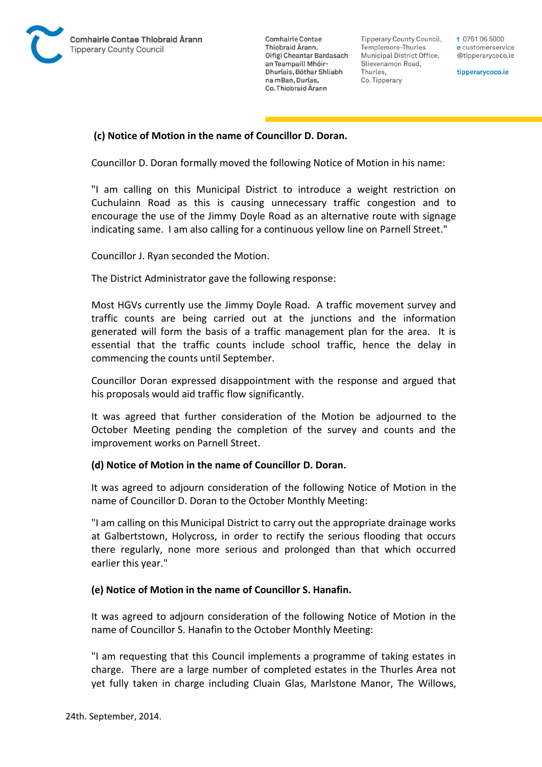

Tipperary County Council. Templemore-Thurles Municipal District Office, Slievenamon Road, Thurles, Co. Tipperary

t 0761 06 5000 e customerservice @tipperarycoco.ie

tipperarycoco.ie

## **(c) Notice of Motion in the name of Councillor D. Doran.**

Councillor D. Doran formally moved the following Notice of Motion in his name:

"I am calling on this Municipal District to introduce a weight restriction on Cuchulainn Road as this is causing unnecessary traffic congestion and to encourage the use of the Jimmy Doyle Road as an alternative route with signage indicating same. I am also calling for a continuous yellow line on Parnell Street."

Councillor J. Ryan seconded the Motion.

The District Administrator gave the following response:

Most HGVs currently use the Jimmy Doyle Road. A traffic movement survey and traffic counts are being carried out at the junctions and the information generated will form the basis of a traffic management plan for the area. It is essential that the traffic counts include school traffic, hence the delay in commencing the counts until September.

Councillor Doran expressed disappointment with the response and argued that his proposals would aid traffic flow significantly.

It was agreed that further consideration of the Motion be adjourned to the October Meeting pending the completion of the survey and counts and the improvement works on Parnell Street.

### **(d) Notice of Motion in the name of Councillor D. Doran.**

It was agreed to adjourn consideration of the following Notice of Motion in the name of Councillor D. Doran to the October Monthly Meeting:

"I am calling on this Municipal District to carry out the appropriate drainage works at Galbertstown, Holycross, in order to rectify the serious flooding that occurs there regularly, none more serious and prolonged than that which occurred earlier this year."

## **(e) Notice of Motion in the name of Councillor S. Hanafin.**

It was agreed to adjourn consideration of the following Notice of Motion in the name of Councillor S. Hanafin to the October Monthly Meeting:

"I am requesting that this Council implements a programme of taking estates in charge. There are a large number of completed estates in the Thurles Area not yet fully taken in charge including Cluain Glas, Marlstone Manor, The Willows,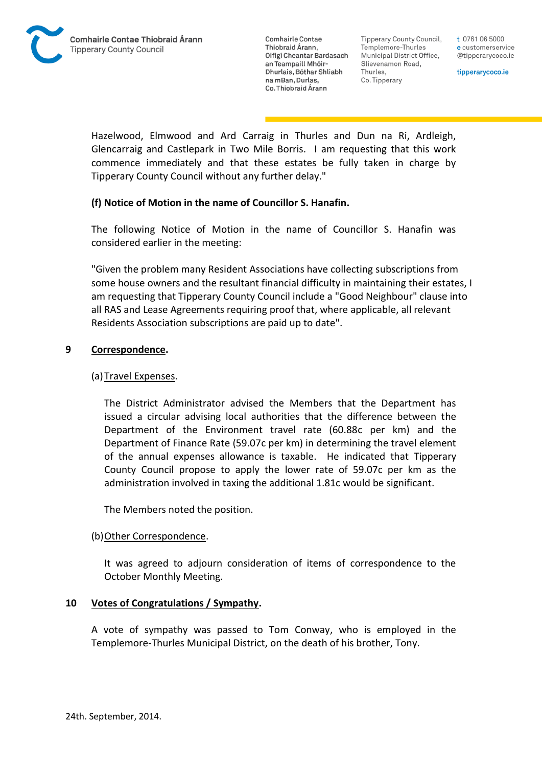Tipperary County Council. Templemore-Thurles Municipal District Office, Slievenamon Road, Thurles, Co. Tipperary

t 0761 06 5000 e customerservice @tipperarycoco.ie

tipperarycoco.ie

Hazelwood, Elmwood and Ard Carraig in Thurles and Dun na Ri, Ardleigh, Glencarraig and Castlepark in Two Mile Borris. I am requesting that this work commence immediately and that these estates be fully taken in charge by Tipperary County Council without any further delay."

## **(f) Notice of Motion in the name of Councillor S. Hanafin.**

The following Notice of Motion in the name of Councillor S. Hanafin was considered earlier in the meeting:

"Given the problem many Resident Associations have collecting subscriptions from some house owners and the resultant financial difficulty in maintaining their estates, I am requesting that Tipperary County Council include a "Good Neighbour" clause into all RAS and Lease Agreements requiring proof that, where applicable, all relevant Residents Association subscriptions are paid up to date".

## **9 Correspondence.**

## (a)Travel Expenses.

The District Administrator advised the Members that the Department has issued a circular advising local authorities that the difference between the Department of the Environment travel rate (60.88c per km) and the Department of Finance Rate (59.07c per km) in determining the travel element of the annual expenses allowance is taxable. He indicated that Tipperary County Council propose to apply the lower rate of 59.07c per km as the administration involved in taxing the additional 1.81c would be significant.

The Members noted the position.

## (b) Other Correspondence.

It was agreed to adjourn consideration of items of correspondence to the October Monthly Meeting.

## **10 Votes of Congratulations / Sympathy.**

A vote of sympathy was passed to Tom Conway, who is employed in the Templemore-Thurles Municipal District, on the death of his brother, Tony.